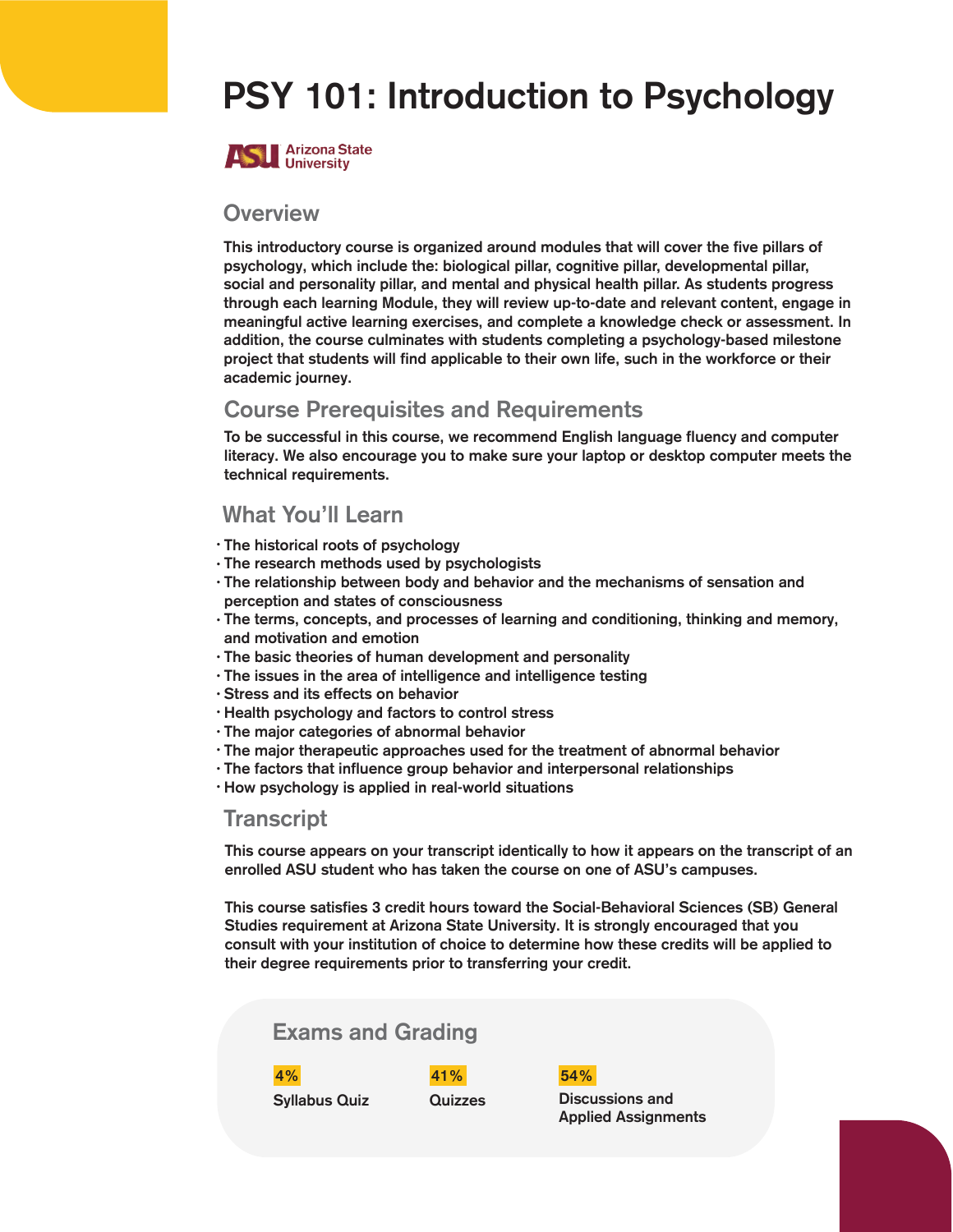# PSY 101: Introduction to Psychology



#### **Overview**

This introductory course is organized around modules that will cover the five pillars of psychology, which include the: biological pillar, cognitive pillar, developmental pillar, social and personality pillar, and mental and physical health pillar. As students progress through each learning Module, they will review up-to-date and relevant content, engage in meaningful active learning exercises, and complete a knowledge check or assessment. In addition, the course culminates with students completing a psychology-based milestone project that students will find applicable to their own life, such in the workforce or their academic journey.

### Course Prerequisites and Requirements

To be successful in this course, we recommend English language fluency and computer literacy. We also encourage you to make sure your laptop or desktop computer meets the technical requirements.

### What You'll Learn

- The historical roots of psychology
- The research methods used by psychologists
- The relationship between body and behavior and the mechanisms of sensation and perception and states of consciousness
- The terms, concepts, and processes of learning and conditioning, thinking and memory, and motivation and emotion
- The basic theories of human development and personality
- The issues in the area of intelligence and intelligence testing
- Stress and its effects on behavior
- Health psychology and factors to control stress
- The major categories of abnormal behavior
- The major therapeutic approaches used for the treatment of abnormal behavior
- The factors that influence group behavior and interpersonal relationships
- How psychology is applied in real-world situations

#### **Transcript**

This course appears on your transcript identically to how it appears on the transcript of an enrolled ASU student who has taken the course on one of ASU's campuses.

This course satisfies 3 credit hours toward the Social-Behavioral Sciences (SB) General Studies requirement at Arizona State University. It is strongly encouraged that you consult with your institution of choice to determine how these credits will be applied to their degree requirements prior to transferring your credit.

#### Exams and Grading

4% 41% 54%

Syllabus Quiz Cuizzes Discussions and Applied Assignments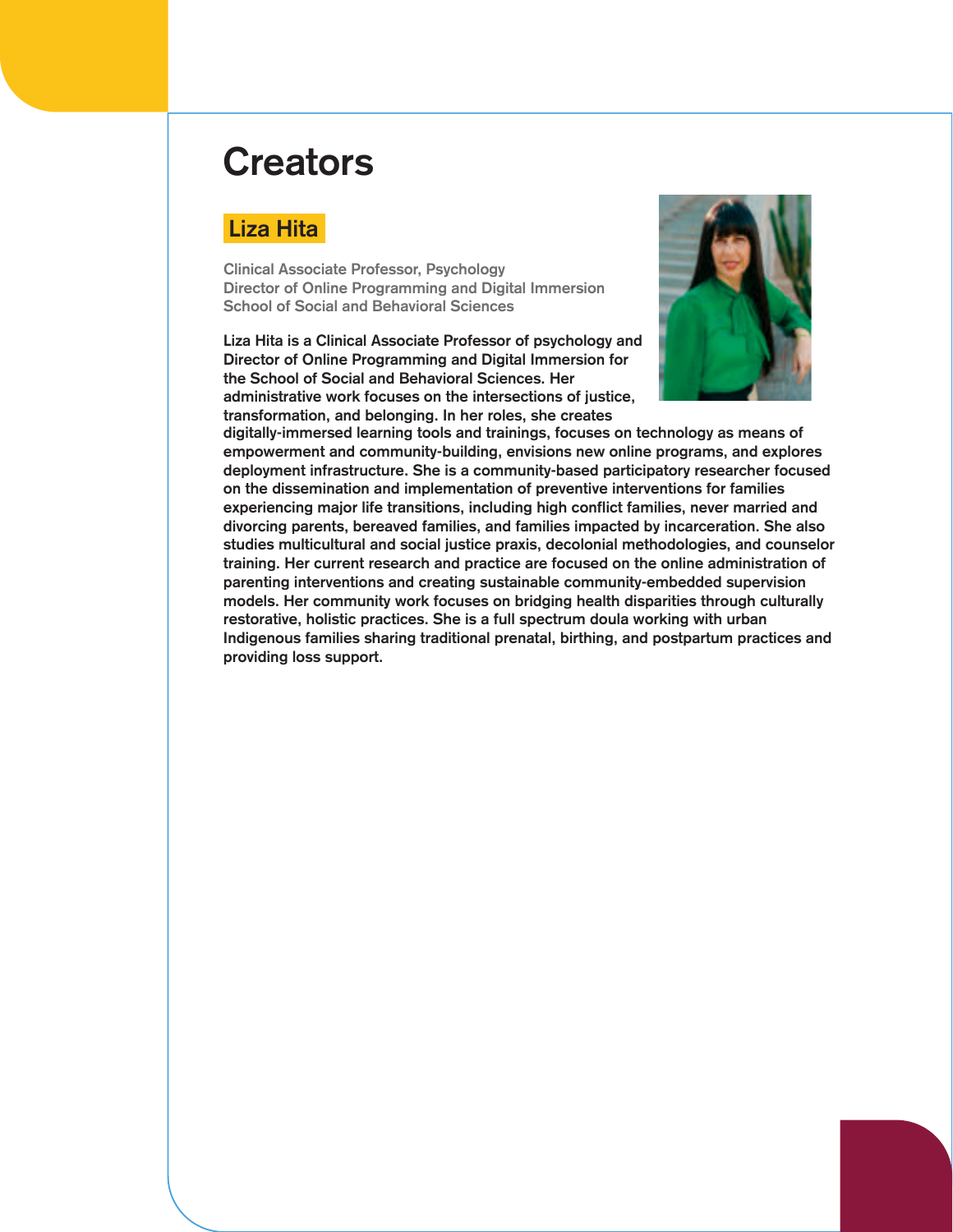## **Creators**

## Liza Hita

Clinical Associate Professor, Psychology Director of Online Programming and Digital Immersion School of Social and Behavioral Sciences

Liza Hita is a Clinical Associate Professor of psychology and Director of Online Programming and Digital Immersion for the School of Social and Behavioral Sciences. Her administrative work focuses on the intersections of justice, transformation, and belonging. In her roles, she creates



digitally-immersed learning tools and trainings, focuses on technology as means of empowerment and community-building, envisions new online programs, and explores deployment infrastructure. She is a community-based participatory researcher focused on the dissemination and implementation of preventive interventions for families experiencing major life transitions, including high conflict families, never married and divorcing parents, bereaved families, and families impacted by incarceration. She also studies multicultural and social justice praxis, decolonial methodologies, and counselor training. Her current research and practice are focused on the online administration of parenting interventions and creating sustainable community-embedded supervision models. Her community work focuses on bridging health disparities through culturally restorative, holistic practices. She is a full spectrum doula working with urban Indigenous families sharing traditional prenatal, birthing, and postpartum practices and providing loss support.